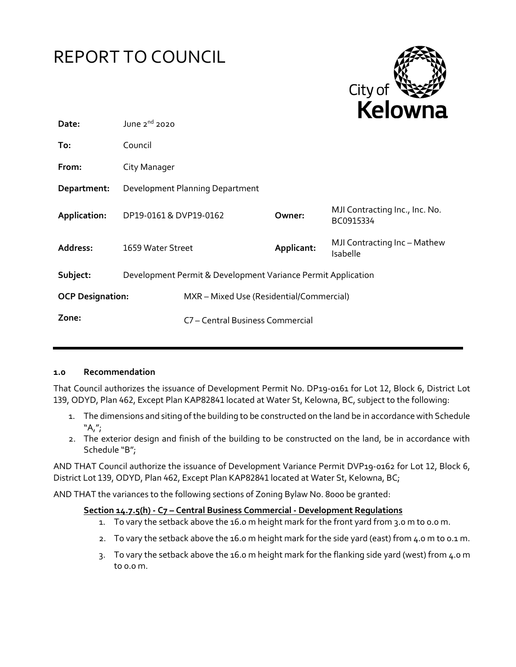# REPORT TO COUNCIL



| Date:                   | June $2^{nd}$ 2020                                           |                                          |            |                                             |
|-------------------------|--------------------------------------------------------------|------------------------------------------|------------|---------------------------------------------|
| To:                     | Council                                                      |                                          |            |                                             |
| From:                   | City Manager                                                 |                                          |            |                                             |
| Department:             | Development Planning Department                              |                                          |            |                                             |
| Application:            | DP19-0161 & DVP19-0162                                       |                                          | Owner:     | MJI Contracting Inc., Inc. No.<br>BC0915334 |
| Address:                | 1659 Water Street                                            |                                          | Applicant: | MJI Contracting Inc - Mathew<br>Isabelle    |
| Subject:                | Development Permit & Development Variance Permit Application |                                          |            |                                             |
| <b>OCP Designation:</b> |                                                              | MXR - Mixed Use (Residential/Commercial) |            |                                             |
| Zone:                   |                                                              | C7 - Central Business Commercial         |            |                                             |
|                         |                                                              |                                          |            |                                             |

#### **1.0 Recommendation**

That Council authorizes the issuance of Development Permit No. DP19-0161 for Lot 12, Block 6, District Lot 139, ODYD, Plan 462, Except Plan KAP82841 located at Water St, Kelowna, BC, subject to the following:

- 1. The dimensions and siting of the building to be constructed on the land be in accordance with Schedule  $"A''$ ;
- 2. The exterior design and finish of the building to be constructed on the land, be in accordance with Schedule "B";

AND THAT Council authorize the issuance of Development Variance Permit DVP19-0162 for Lot 12, Block 6, District Lot 139, ODYD, Plan 462, Except Plan KAP82841 located at Water St, Kelowna, BC;

AND THAT the variances to the following sections of Zoning Bylaw No. 8000 be granted:

#### **Section 14.7.5(h) - C7 – Central Business Commercial - Development Regulations**

- 1. To vary the setback above the 16.0 m height mark for the front yard from 3.0 m to 0.0 m.
- 2. To vary the setback above the 16.0 m height mark for the side yard (east) from 4.0 m to 0.1 m.
- 3. To vary the setback above the 16.0 m height mark for the flanking side yard (west) from 4.0 m to 0.0 m.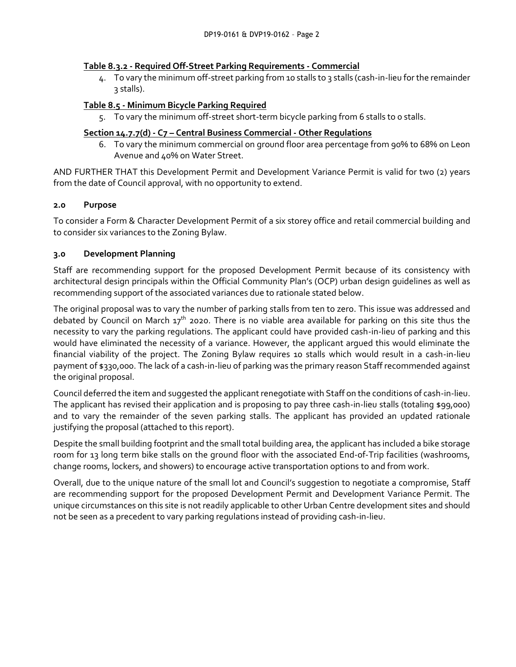#### **Table 8.3.2 - Required Off-Street Parking Requirements - Commercial**

4. To vary the minimum off-street parking from 10 stalls to 3 stalls (cash-in-lieu for the remainder 3 stalls).

# **Table 8.5 - Minimum Bicycle Parking Required**

5. To vary the minimum off-street short-term bicycle parking from 6 stalls to 0 stalls.

# **Section 14.7.7(d) - C7 – Central Business Commercial - Other Regulations**

6. To vary the minimum commercial on ground floor area percentage from 90% to 68% on Leon Avenue and 40% on Water Street.

AND FURTHER THAT this Development Permit and Development Variance Permit is valid for two (2) years from the date of Council approval, with no opportunity to extend.

## **2.0 Purpose**

To consider a Form & Character Development Permit of a six storey office and retail commercial building and to consider six variances to the Zoning Bylaw.

## **3.0 Development Planning**

Staff are recommending support for the proposed Development Permit because of its consistency with architectural design principals within the Official Community Plan's (OCP) urban design guidelines as well as recommending support of the associated variances due to rationale stated below.

The original proposal was to vary the number of parking stalls from ten to zero. This issue was addressed and debated by Council on March  $17<sup>th</sup>$  2020. There is no viable area available for parking on this site thus the necessity to vary the parking regulations. The applicant could have provided cash-in-lieu of parking and this would have eliminated the necessity of a variance. However, the applicant argued this would eliminate the financial viability of the project. The Zoning Bylaw requires 10 stalls which would result in a cash-in-lieu payment of \$330,000. The lack of a cash-in-lieu of parking was the primary reason Staff recommended against the original proposal.

Council deferred the item and suggested the applicant renegotiate with Staff on the conditions of cash-in-lieu. The applicant has revised their application and is proposing to pay three cash-in-lieu stalls (totaling \$99,000) and to vary the remainder of the seven parking stalls. The applicant has provided an updated rationale justifying the proposal (attached to this report).

Despite the small building footprint and the small total building area, the applicant has included a bike storage room for 13 long term bike stalls on the ground floor with the associated End-of-Trip facilities (washrooms, change rooms, lockers, and showers) to encourage active transportation options to and from work.

Overall, due to the unique nature of the small lot and Council's suggestion to negotiate a compromise, Staff are recommending support for the proposed Development Permit and Development Variance Permit. The unique circumstances on this site is not readily applicable to other Urban Centre development sites and should not be seen as a precedent to vary parking regulations instead of providing cash-in-lieu.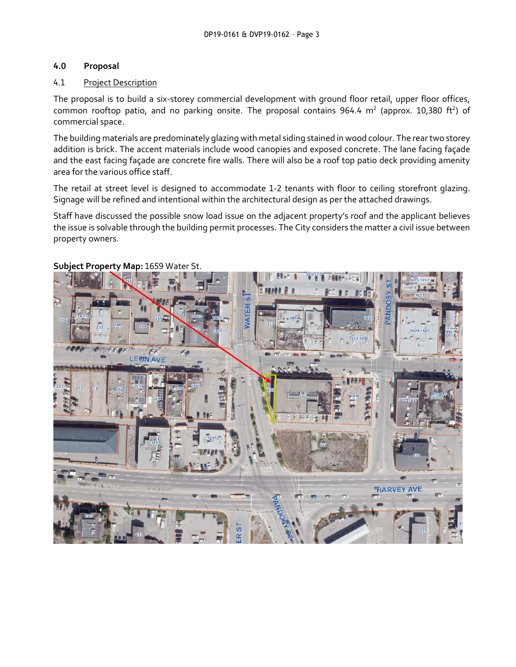# **4.0 Proposal**

# 4.1 Project Description

The proposal is to build a six-storey commercial development with ground floor retail, upper floor offices, common rooftop patio, and no parking onsite. The proposal contains 964.4 m<sup>2</sup> (approx. 10,380 ft<sup>2</sup>) of commercial space.

The building materials are predominately glazing with metal siding stained in wood colour. The rear two storey addition is brick. The accent materials include wood canopies and exposed concrete. The lane facing façade and the east facing façade are concrete fire walls. There will also be a roof top patio deck providing amenity area for the various office staff.

The retail at street level is designed to accommodate 1-2 tenants with floor to ceiling storefront glazing. Signage will be refined and intentional within the architectural design as per the attached drawings.

Staff have discussed the possible snow load issue on the adjacent property's roof and the applicant believes the issue is solvable through the building permit processes. The City considers the matter a civil issue between property owners.



# **Subject Property Map:** 1659 Water St.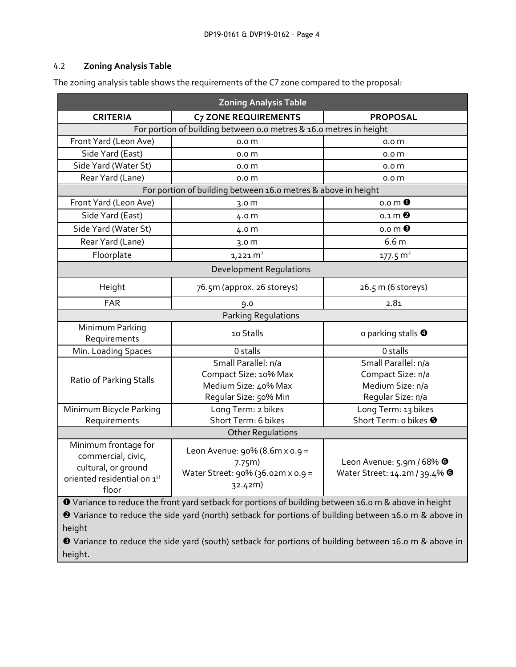# 4.2 **Zoning Analysis Table**

The zoning analysis table shows the requirements of the C7 zone compared to the proposal:

| <b>Zoning Analysis Table</b>                                                                                                                                                                                                                                                                                                                        |                                                                                               |                                                                                   |  |  |  |  |
|-----------------------------------------------------------------------------------------------------------------------------------------------------------------------------------------------------------------------------------------------------------------------------------------------------------------------------------------------------|-----------------------------------------------------------------------------------------------|-----------------------------------------------------------------------------------|--|--|--|--|
| <b>CRITERIA</b>                                                                                                                                                                                                                                                                                                                                     | <b>C7 ZONE REQUIREMENTS</b>                                                                   | <b>PROPOSAL</b>                                                                   |  |  |  |  |
| For portion of building between o.o metres & 16.0 metres in height                                                                                                                                                                                                                                                                                  |                                                                                               |                                                                                   |  |  |  |  |
| Front Yard (Leon Ave)                                                                                                                                                                                                                                                                                                                               | 0.0 <sub>m</sub>                                                                              | 0.0 <sub>m</sub>                                                                  |  |  |  |  |
| Side Yard (East)                                                                                                                                                                                                                                                                                                                                    | 0.0 <sub>m</sub>                                                                              | 0.0 <sub>m</sub>                                                                  |  |  |  |  |
| Side Yard (Water St)                                                                                                                                                                                                                                                                                                                                | 0.0 <sub>m</sub>                                                                              | 0.0 <sub>m</sub>                                                                  |  |  |  |  |
| Rear Yard (Lane)                                                                                                                                                                                                                                                                                                                                    | 0.0 <sub>m</sub>                                                                              | 0.0 <sub>m</sub>                                                                  |  |  |  |  |
| For portion of building between 16.0 metres & above in height                                                                                                                                                                                                                                                                                       |                                                                                               |                                                                                   |  |  |  |  |
| Front Yard (Leon Ave)                                                                                                                                                                                                                                                                                                                               | 3.0 <sub>m</sub>                                                                              | $0.0 \, \text{m}$ $\bullet$                                                       |  |  |  |  |
| Side Yard (East)                                                                                                                                                                                                                                                                                                                                    | 4.0 m                                                                                         | $0.1 \, \text{m}$ <sup><math>\odot</math></sup>                                   |  |  |  |  |
| Side Yard (Water St)                                                                                                                                                                                                                                                                                                                                | 4.0 m                                                                                         | $0.0 \, \text{m}$ $\odot$                                                         |  |  |  |  |
| Rear Yard (Lane)                                                                                                                                                                                                                                                                                                                                    | 3.0 <sub>m</sub>                                                                              | 6.6 m                                                                             |  |  |  |  |
| Floorplate                                                                                                                                                                                                                                                                                                                                          | $1,221 \, \text{m}^2$                                                                         | $177.5 \text{ m}^2$                                                               |  |  |  |  |
| <b>Development Requlations</b>                                                                                                                                                                                                                                                                                                                      |                                                                                               |                                                                                   |  |  |  |  |
| Height                                                                                                                                                                                                                                                                                                                                              | 76.5m (approx. 26 storeys)                                                                    | 26.5 m (6 storeys)                                                                |  |  |  |  |
| FAR                                                                                                                                                                                                                                                                                                                                                 | 9.0                                                                                           | 2.81                                                                              |  |  |  |  |
|                                                                                                                                                                                                                                                                                                                                                     | <b>Parking Regulations</b>                                                                    |                                                                                   |  |  |  |  |
| Minimum Parking<br>Requirements                                                                                                                                                                                                                                                                                                                     | 10 Stalls                                                                                     | o parking stalls $\bullet$                                                        |  |  |  |  |
| Min. Loading Spaces                                                                                                                                                                                                                                                                                                                                 | 0 stalls                                                                                      | 0 stalls                                                                          |  |  |  |  |
| Ratio of Parking Stalls                                                                                                                                                                                                                                                                                                                             | Small Parallel: n/a<br>Compact Size: 10% Max<br>Medium Size: 40% Max<br>Regular Size: 50% Min | Small Parallel: n/a<br>Compact Size: n/a<br>Medium Size: n/a<br>Regular Size: n/a |  |  |  |  |
| Minimum Bicycle Parking                                                                                                                                                                                                                                                                                                                             | Long Term: 2 bikes                                                                            | Long Term: 13 bikes                                                               |  |  |  |  |
| Requirements                                                                                                                                                                                                                                                                                                                                        | Short Term: 6 bikes                                                                           | Short Term: o bikes <sup>O</sup>                                                  |  |  |  |  |
|                                                                                                                                                                                                                                                                                                                                                     | <b>Other Regulations</b>                                                                      |                                                                                   |  |  |  |  |
| Minimum frontage for<br>commercial, civic,<br>cultural, or ground<br>oriented residential on 1st<br>floor                                                                                                                                                                                                                                           | Leon Avenue: $90\%$ (8.6m x $0.9 =$<br>7.75m)<br>Water Street: 90% (36.02m x 0.9 =<br>32.42m) | Leon Avenue: 5.9m / 68% <sup>O</sup><br>Water Street: 14.2m / 39.4% <sup>0</sup>  |  |  |  |  |
| O Variance to reduce the front yard setback for portions of building between 16.0 m & above in height<br><sup>2</sup> Variance to reduce the side yard (north) setback for portions of building between 16.0 m & above in<br>height<br><b>8</b> Variance to reduce the side vard (south) setback for portions of building between 16.0 m & above in |                                                                                               |                                                                                   |  |  |  |  |

 Variance to reduce the side yard (south) setback for portions of building between 16.0 m & above in height.